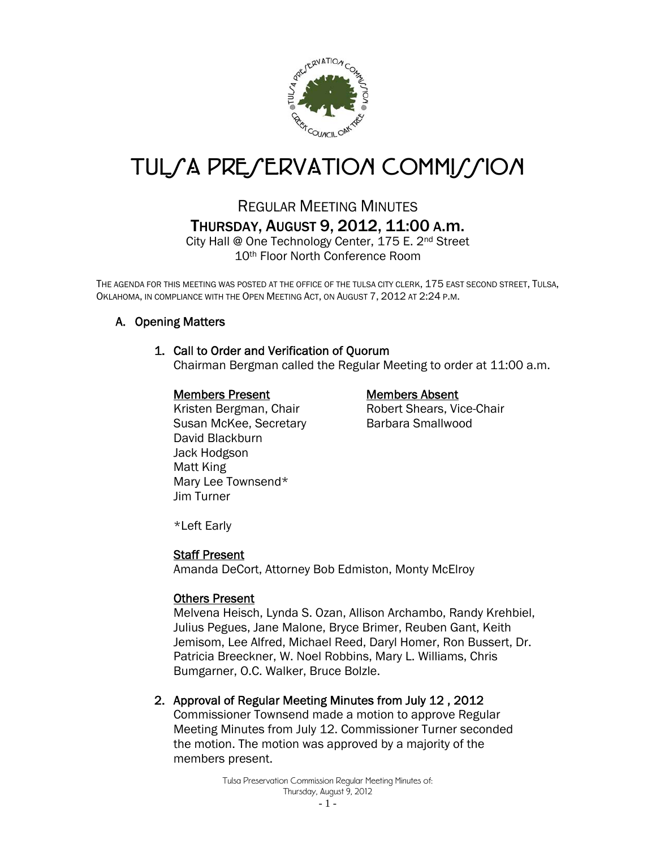

# TUL*SA PRESERVATION COMMISSION*

# REGULAR MEETING MINUTES THURSDAY, AUGUST 9, 2012, 11:00 A.m.

City Hall @ One Technology Center, 175 E. 2nd Street 10th Floor North Conference Room

THE AGENDA FOR THIS MEETING WAS POSTED AT THE OFFICE OF THE TULSA CITY CLERK, 175 EAST SECOND STREET, TULSA, OKLAHOMA, IN COMPLIANCE WITH THE OPEN MEETING ACT, ON AUGUST 7, 2012 AT 2:24 P.M.

# A. Opening Matters

# 1. Call to Order and Verification of Quorum

Chairman Bergman called the Regular Meeting to order at 11:00 a.m.

#### Members Present Members Absent

Kristen Bergman, Chair **Robert Shears, Vice-Chair** Susan McKee, Secretary Barbara Smallwood David Blackburn Jack Hodgson Matt King Mary Lee Townsend\* Jim Turner

\*Left Early

#### Staff Present

Amanda DeCort, Attorney Bob Edmiston, Monty McElroy

#### Others Present

Melvena Heisch, Lynda S. Ozan, Allison Archambo, Randy Krehbiel, Julius Pegues, Jane Malone, Bryce Brimer, Reuben Gant, Keith Jemisom, Lee Alfred, Michael Reed, Daryl Homer, Ron Bussert, Dr. Patricia Breeckner, W. Noel Robbins, Mary L. Williams, Chris Bumgarner, O.C. Walker, Bruce Bolzle.

# 2. Approval of Regular Meeting Minutes from July 12 , 2012

Commissioner Townsend made a motion to approve Regular Meeting Minutes from July 12. Commissioner Turner seconded the motion. The motion was approved by a majority of the members present.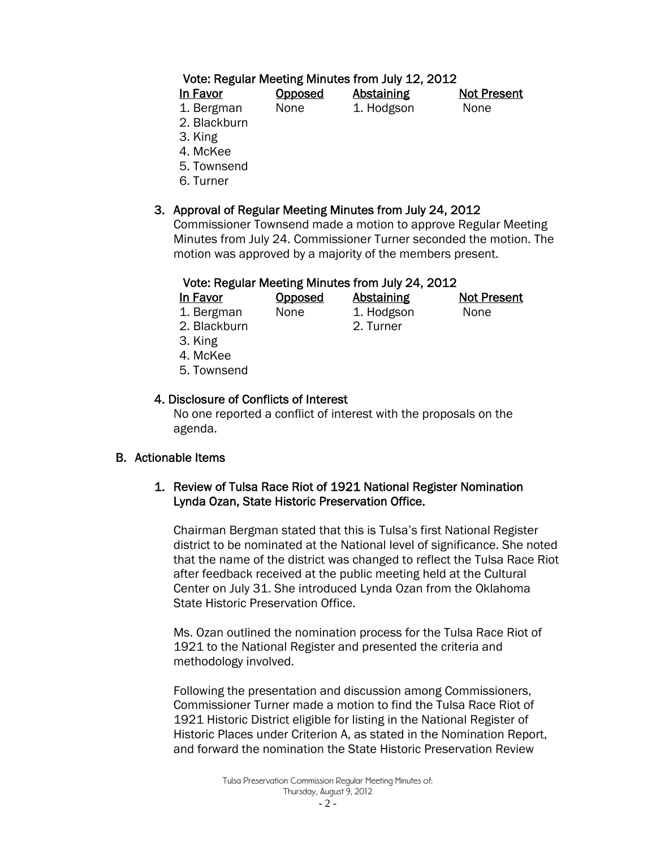# Vote: Regular Meeting Minutes from July 12, 2012

| In Favor             | <b>Opposed</b> | <b>Abstaining</b> | <b>Not Present</b> |
|----------------------|----------------|-------------------|--------------------|
| 1. Bergman           | None           | 1. Hodgson        | None               |
| $\sim$ $\sim$ $\sim$ |                |                   |                    |

- 2. Blackburn
- 3. King
- 4. McKee
- 5. Townsend
- 6. Turner

# 3. Approval of Regular Meeting Minutes from July 24, 2012

Commissioner Townsend made a motion to approve Regular Meeting Minutes from July 24. Commissioner Turner seconded the motion. The motion was approved by a majority of the members present.

# Vote: Regular Meeting Minutes from July 24, 2012

| In Favor | <u>Opposed</u> | Abstaining | <b>Not Present</b> |
|----------|----------------|------------|--------------------|
|          |                |            |                    |

1. Bergman None 1. Hodgson None 2. Blackburn 2. Turner

- 3. King 4. McKee
- 5. Townsend

# 4. Disclosure of Conflicts of Interest

 No one reported a conflict of interest with the proposals on the agenda.

# B. Actionable Items

# 1. Review of Tulsa Race Riot of 1921 National Register Nomination Lynda Ozan, State Historic Preservation Office.

Chairman Bergman stated that this is Tulsa's first National Register district to be nominated at the National level of significance. She noted that the name of the district was changed to reflect the Tulsa Race Riot after feedback received at the public meeting held at the Cultural Center on July 31. She introduced Lynda Ozan from the Oklahoma State Historic Preservation Office.

Ms. Ozan outlined the nomination process for the Tulsa Race Riot of 1921 to the National Register and presented the criteria and methodology involved.

Following the presentation and discussion among Commissioners, Commissioner Turner made a motion to find the Tulsa Race Riot of 1921 Historic District eligible for listing in the National Register of Historic Places under Criterion A, as stated in the Nomination Report, and forward the nomination the State Historic Preservation Review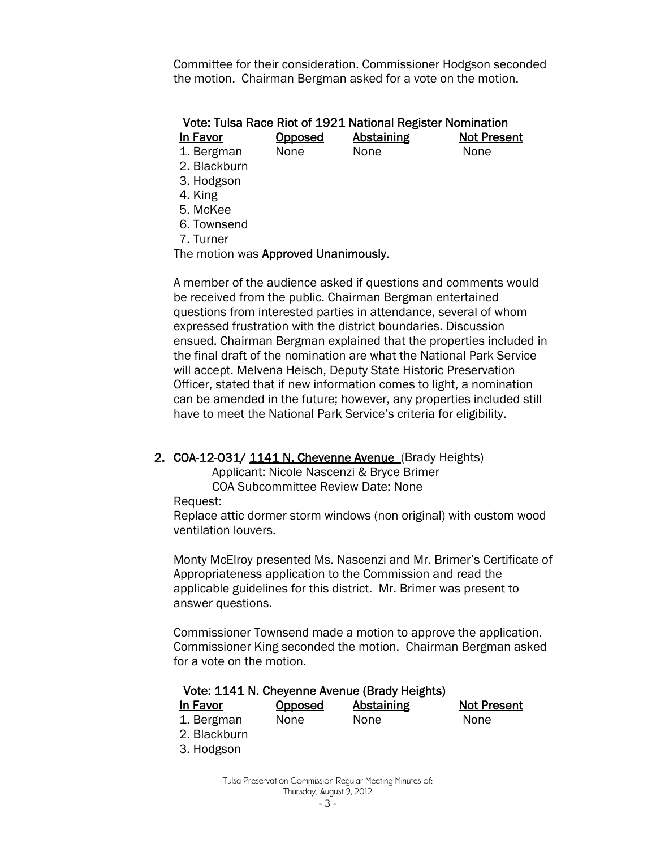Committee for their consideration. Commissioner Hodgson seconded the motion. Chairman Bergman asked for a vote on the motion.

# Vote: Tulsa Race Riot of 1921 National Register Nomination

In Favor Opposed Abstaining Not Present

1. Bergman None None None

2. Blackburn

3. Hodgson

4. King

- 5. McKee
- 6. Townsend

7. Turner

The motion was Approved Unanimously.

A member of the audience asked if questions and comments would be received from the public. Chairman Bergman entertained questions from interested parties in attendance, several of whom expressed frustration with the district boundaries. Discussion ensued. Chairman Bergman explained that the properties included in the final draft of the nomination are what the National Park Service will accept. Melvena Heisch, Deputy State Historic Preservation Officer, stated that if new information comes to light, a nomination can be amended in the future; however, any properties included still have to meet the National Park Service's criteria for eligibility.

# 2. COA-12-031/ 1141 N. Cheyenne Avenue (Brady Heights)

Applicant: Nicole Nascenzi & Bryce Brimer COA Subcommittee Review Date: None

Request:

Replace attic dormer storm windows (non original) with custom wood ventilation louvers.

Monty McElroy presented Ms. Nascenzi and Mr. Brimer's Certificate of Appropriateness application to the Commission and read the applicable guidelines for this district. Mr. Brimer was present to answer questions.

Commissioner Townsend made a motion to approve the application. Commissioner King seconded the motion. Chairman Bergman asked for a vote on the motion.

# Vote: 1141 N. Cheyenne Avenue (Brady Heights) In Favor Opposed Abstaining Not Present

| 1. Bergman   | None | None | None |
|--------------|------|------|------|
| 2. Blackburn |      |      |      |

3. Hodgson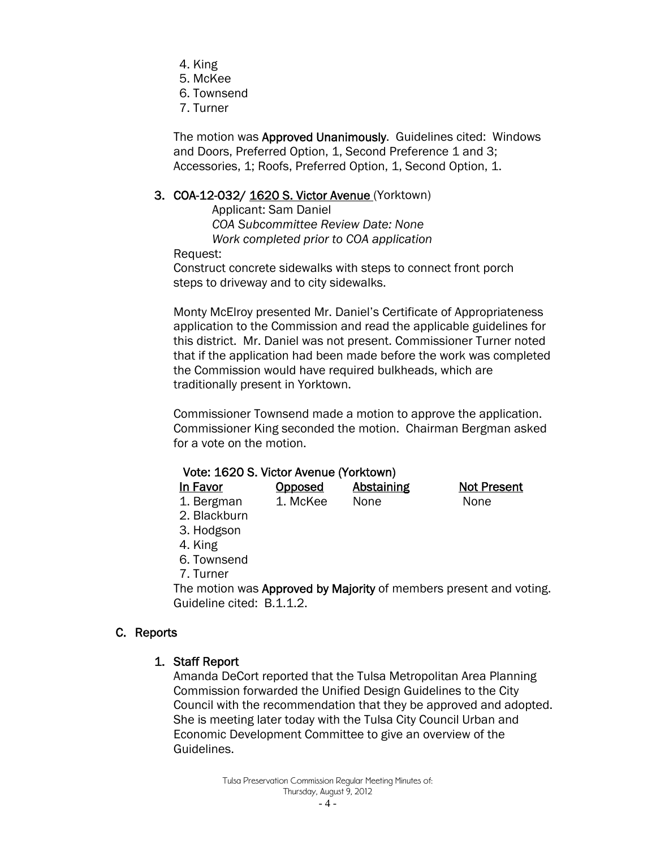- 4. King
- 5. McKee
- 6. Townsend
- 7. Turner

The motion was Approved Unanimously. Guidelines cited: Windows and Doors, Preferred Option, 1, Second Preference 1 and 3; Accessories, 1; Roofs, Preferred Option, 1, Second Option, 1.

#### 3. COA-12-032/ 1620 S. Victor Avenue (Yorktown)

 Applicant: Sam Daniel  *COA Subcommittee Review Date: None Work completed prior to COA application* 

Request:

Construct concrete sidewalks with steps to connect front porch steps to driveway and to city sidewalks.

Monty McElroy presented Mr. Daniel's Certificate of Appropriateness application to the Commission and read the applicable guidelines for this district. Mr. Daniel was not present. Commissioner Turner noted that if the application had been made before the work was completed the Commission would have required bulkheads, which are traditionally present in Yorktown.

Commissioner Townsend made a motion to approve the application. Commissioner King seconded the motion. Chairman Bergman asked for a vote on the motion.

| Vote: 1620 S. Victor Avenue (Yorktown) |  |  |  |
|----------------------------------------|--|--|--|
|----------------------------------------|--|--|--|

| In Favor   | <b>Opposed</b> | Abstaining | <b>Not Present</b> |
|------------|----------------|------------|--------------------|
| 1. Bergman | 1. McKee       | None       | None               |

- 2. Blackburn
- 3. Hodgson
- 4. King
- 6. Townsend
- 7. Turner

The motion was Approved by Majority of members present and voting. Guideline cited: B.1.1.2.

# C. Reports

# 1. Staff Report

Amanda DeCort reported that the Tulsa Metropolitan Area Planning Commission forwarded the Unified Design Guidelines to the City Council with the recommendation that they be approved and adopted. She is meeting later today with the Tulsa City Council Urban and Economic Development Committee to give an overview of the Guidelines.